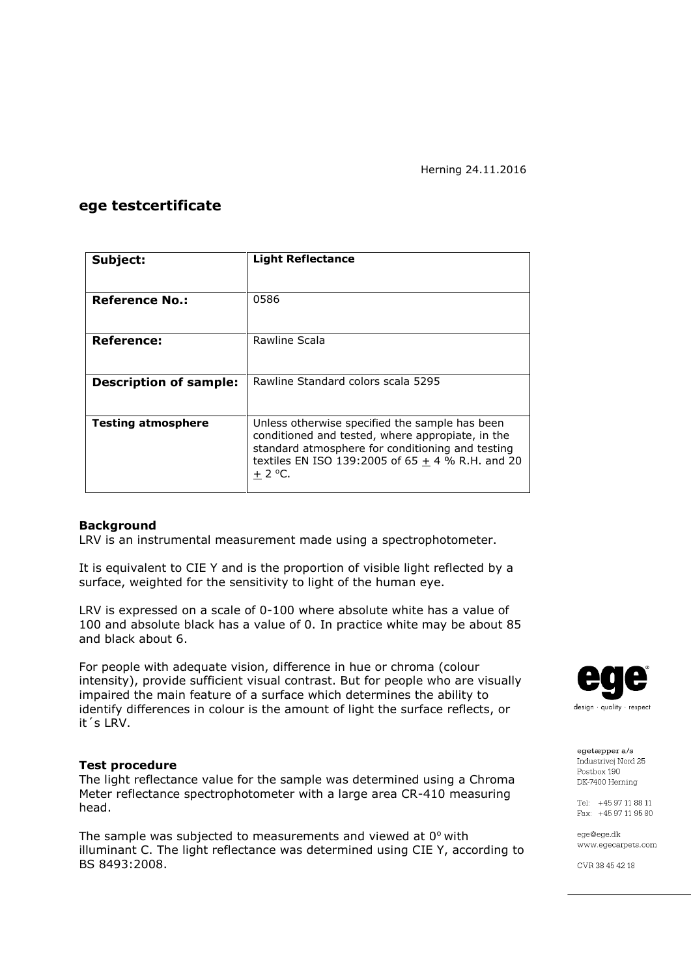### **ege testcertificate**

| Subject:                      | <b>Light Reflectance</b>                                                                                                                                                                                                 |  |  |
|-------------------------------|--------------------------------------------------------------------------------------------------------------------------------------------------------------------------------------------------------------------------|--|--|
|                               |                                                                                                                                                                                                                          |  |  |
| <b>Reference No.:</b>         | 0586                                                                                                                                                                                                                     |  |  |
| Reference:                    | Rawline Scala                                                                                                                                                                                                            |  |  |
|                               |                                                                                                                                                                                                                          |  |  |
| <b>Description of sample:</b> | Rawline Standard colors scala 5295                                                                                                                                                                                       |  |  |
| <b>Testing atmosphere</b>     | Unless otherwise specified the sample has been<br>conditioned and tested, where appropiate, in the<br>standard atmosphere for conditioning and testing<br>textiles EN ISO 139:2005 of $65 + 4$ % R.H. and 20<br>$+2$ °C. |  |  |

### **Background**

LRV is an instrumental measurement made using a spectrophotometer.

It is equivalent to CIE Y and is the proportion of visible light reflected by a surface, weighted for the sensitivity to light of the human eye.

LRV is expressed on a scale of 0-100 where absolute white has a value of 100 and absolute black has a value of 0. In practice white may be about 85 and black about 6.

For people with adequate vision, difference in hue or chroma (colour intensity), provide sufficient visual contrast. But for people who are visually impaired the main feature of a surface which determines the ability to identify differences in colour is the amount of light the surface reflects, or it´s LRV.

#### **Test procedure**

The light reflectance value for the sample was determined using a Chroma Meter reflectance spectrophotometer with a large area CR-410 measuring head.

The sample was subjected to measurements and viewed at  $0^{\circ}$  with illuminant C. The light reflectance was determined using CIE Y, according to BS 8493:2008.



egetæpper a/s Industrivei Nord 25 Postbox 190 DK-7400 Herning

Tel: +45 97 11 88 11 Fax: +45 97 11 95 80

ege@ege.dk www.egecarpets.com

CVR 38 45 42 18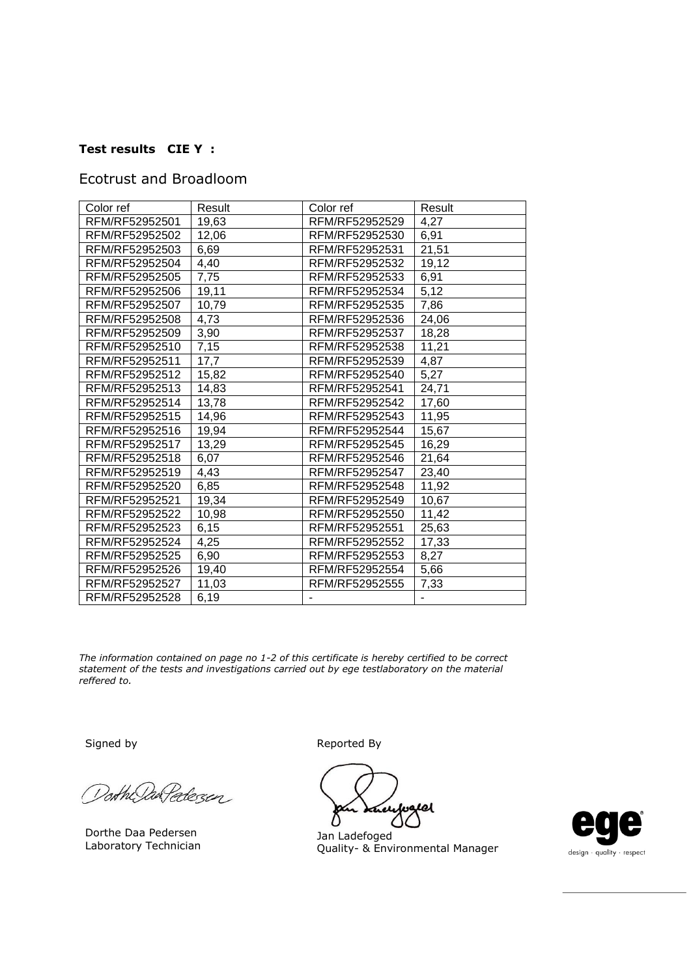# **Test results CIE Y :**

## Ecotrust and Broadloom

| Color ref      | Result | Color ref      | Result |
|----------------|--------|----------------|--------|
| RFM/RF52952501 | 19,63  | RFM/RF52952529 | 4,27   |
| RFM/RF52952502 | 12,06  | RFM/RF52952530 | 6,91   |
| RFM/RF52952503 | 6,69   | RFM/RF52952531 | 21,51  |
| RFM/RF52952504 | 4,40   | RFM/RF52952532 | 19,12  |
| RFM/RF52952505 | 7,75   | RFM/RF52952533 | 6,91   |
| RFM/RF52952506 | 19,11  | RFM/RF52952534 | 5,12   |
| RFM/RF52952507 | 10,79  | RFM/RF52952535 | 7,86   |
| RFM/RF52952508 | 4,73   | RFM/RF52952536 | 24,06  |
| RFM/RF52952509 | 3,90   | RFM/RF52952537 | 18,28  |
| RFM/RF52952510 | 7,15   | RFM/RF52952538 | 11,21  |
| RFM/RF52952511 | 17,7   | RFM/RF52952539 | 4,87   |
| RFM/RF52952512 | 15,82  | RFM/RF52952540 | 5,27   |
| RFM/RF52952513 | 14,83  | RFM/RF52952541 | 24,71  |
| RFM/RF52952514 | 13,78  | RFM/RF52952542 | 17,60  |
| RFM/RF52952515 | 14,96  | RFM/RF52952543 | 11,95  |
| RFM/RF52952516 | 19,94  | RFM/RF52952544 | 15,67  |
| RFM/RF52952517 | 13,29  | RFM/RF52952545 | 16,29  |
| RFM/RF52952518 | 6,07   | RFM/RF52952546 | 21,64  |
| RFM/RF52952519 | 4,43   | RFM/RF52952547 | 23,40  |
| RFM/RF52952520 | 6,85   | RFM/RF52952548 | 11,92  |
| RFM/RF52952521 | 19,34  | RFM/RF52952549 | 10,67  |
| RFM/RF52952522 | 10,98  | RFM/RF52952550 | 11,42  |
| RFM/RF52952523 | 6, 15  | RFM/RF52952551 | 25,63  |
| RFM/RF52952524 | 4,25   | RFM/RF52952552 | 17,33  |
| RFM/RF52952525 | 6,90   | RFM/RF52952553 | 8,27   |
| RFM/RF52952526 | 19,40  | RFM/RF52952554 | 5,66   |
| RFM/RF52952527 | 11,03  | RFM/RF52952555 | 7,33   |
| RFM/RF52952528 | 6,19   |                |        |

*The information contained on page no 1-2 of this certificate is hereby certified to be correct statement of the tests and investigations carried out by ege testlaboratory on the material reffered to.*

Dorth DanPedezen

Dorthe Daa Pedersen Laboratory Technician

Signed by **Reported By** 

el

Jan Ladefoged Quality- & Environmental Manager